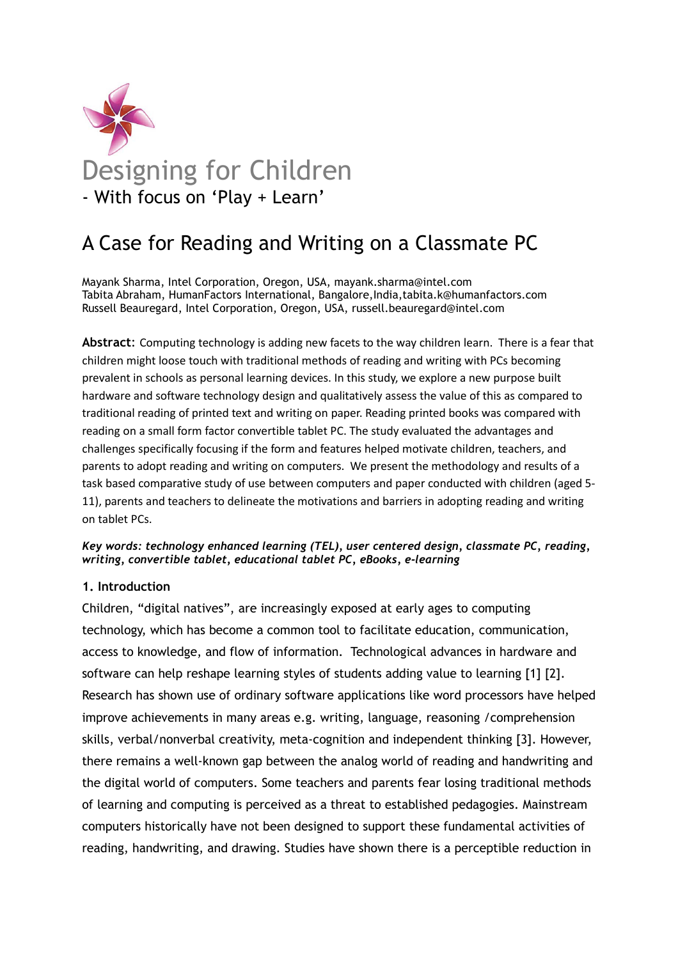

# - With focus on 'Play + Learn'

# A Case for Reading and Writing on a Classmate PC

Mayank Sharma, Intel Corporation, Oregon, USA, mayank.sharma@intel.com Tabita Abraham, HumanFactors International, Bangalore,India,tabita.k@humanfactors.com Russell Beauregard, Intel Corporation, Oregon, USA, russell.beauregard@intel.com

Abstract: Computing technology is adding new facets to the way children learn. There is a fear that children might loose touch with traditional methods of reading and writing with PCs becoming prevalent in schools as personal learning devices. In this study, we explore a new purpose built hardware and software technology design and qualitatively assess the value of this as compared to traditional reading of printed text and writing on paper. Reading printed books was compared with reading on a small form factor convertible tablet PC. The study evaluated the advantages and challenges specifically focusing if the form and features helped motivate children, teachers, and parents to adopt reading and writing on computers. We present the methodology and results of a task based comparative study of use between computers and paper conducted with children (aged 5- 11), parents and teachers to delineate the motivations and barriers in adopting reading and writing on tablet PCs.

#### Key words: technology enhanced learning (TEL), user centered design, classmate PC, reading, writing, convertible tablet, educational tablet PC, eBooks, e-learning

### 1. Introduction

Children, "digital natives", are increasingly exposed at early ages to computing technology, which has become a common tool to facilitate education, communication, access to knowledge, and flow of information. Technological advances in hardware and software can help reshape learning styles of students adding value to learning [1] [2]. Research has shown use of ordinary software applications like word processors have helped improve achievements in many areas e.g. writing, language, reasoning /comprehension skills, verbal/nonverbal creativity, meta-cognition and independent thinking [3]. However, there remains a well-known gap between the analog world of reading and handwriting and the digital world of computers. Some teachers and parents fear losing traditional methods of learning and computing is perceived as a threat to established pedagogies. Mainstream computers historically have not been designed to support these fundamental activities of reading, handwriting, and drawing. Studies have shown there is a perceptible reduction in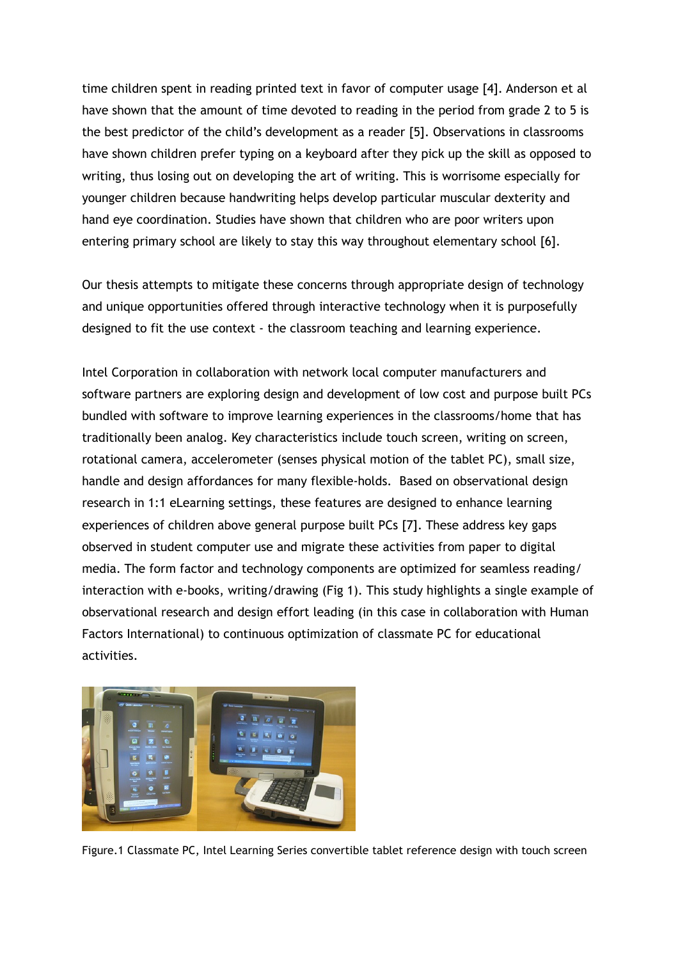time children spent in reading printed text in favor of computer usage [4]. Anderson et al have shown that the amount of time devoted to reading in the period from grade 2 to 5 is the best predictor of the child's development as a reader [5]. Observations in classrooms have shown children prefer typing on a keyboard after they pick up the skill as opposed to writing, thus losing out on developing the art of writing. This is worrisome especially for younger children because handwriting helps develop particular muscular dexterity and hand eye coordination. Studies have shown that children who are poor writers upon entering primary school are likely to stay this way throughout elementary school [6].

Our thesis attempts to mitigate these concerns through appropriate design of technology and unique opportunities offered through interactive technology when it is purposefully designed to fit the use context - the classroom teaching and learning experience.

Intel Corporation in collaboration with network local computer manufacturers and software partners are exploring design and development of low cost and purpose built PCs bundled with software to improve learning experiences in the classrooms/home that has traditionally been analog. Key characteristics include touch screen, writing on screen, rotational camera, accelerometer (senses physical motion of the tablet PC), small size, handle and design affordances for many flexible-holds. Based on observational design research in 1:1 eLearning settings, these features are designed to enhance learning experiences of children above general purpose built PCs [7]. These address key gaps observed in student computer use and migrate these activities from paper to digital media. The form factor and technology components are optimized for seamless reading/ interaction with e-books, writing/drawing (Fig 1). This study highlights a single example of observational research and design effort leading (in this case in collaboration with Human Factors International) to continuous optimization of classmate PC for educational activities.



Figure.1 Classmate PC, Intel Learning Series convertible tablet reference design with touch screen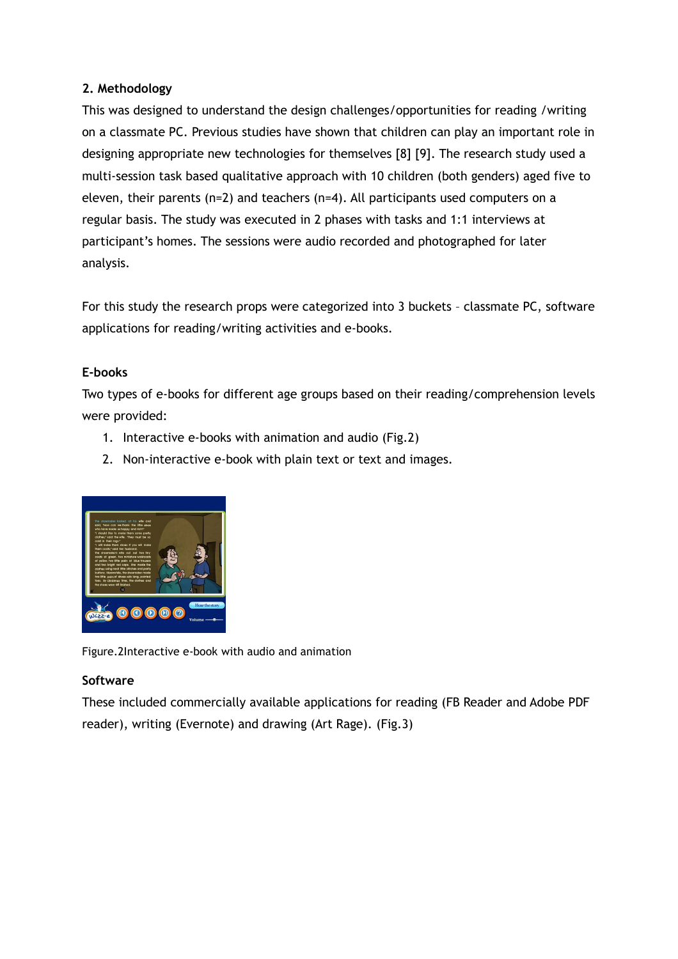# 2. Methodology

This was designed to understand the design challenges/opportunities for reading /writing on a classmate PC. Previous studies have shown that children can play an important role in designing appropriate new technologies for themselves [8] [9]. The research study used a multi-session task based qualitative approach with 10 children (both genders) aged five to eleven, their parents (n=2) and teachers (n=4). All participants used computers on a regular basis. The study was executed in 2 phases with tasks and 1:1 interviews at participant's homes. The sessions were audio recorded and photographed for later analysis.

For this study the research props were categorized into 3 buckets – classmate PC, software applications for reading/writing activities and e-books.

# E-books

Two types of e-books for different age groups based on their reading/comprehension levels were provided:

- 1. Interactive e-books with animation and audio (Fig.2)
- 2. Non-interactive e-book with plain text or text and images.



Figure.2Interactive e-book with audio and animation

# **Software**

These included commercially available applications for reading (FB Reader and Adobe PDF reader), writing (Evernote) and drawing (Art Rage). (Fig.3)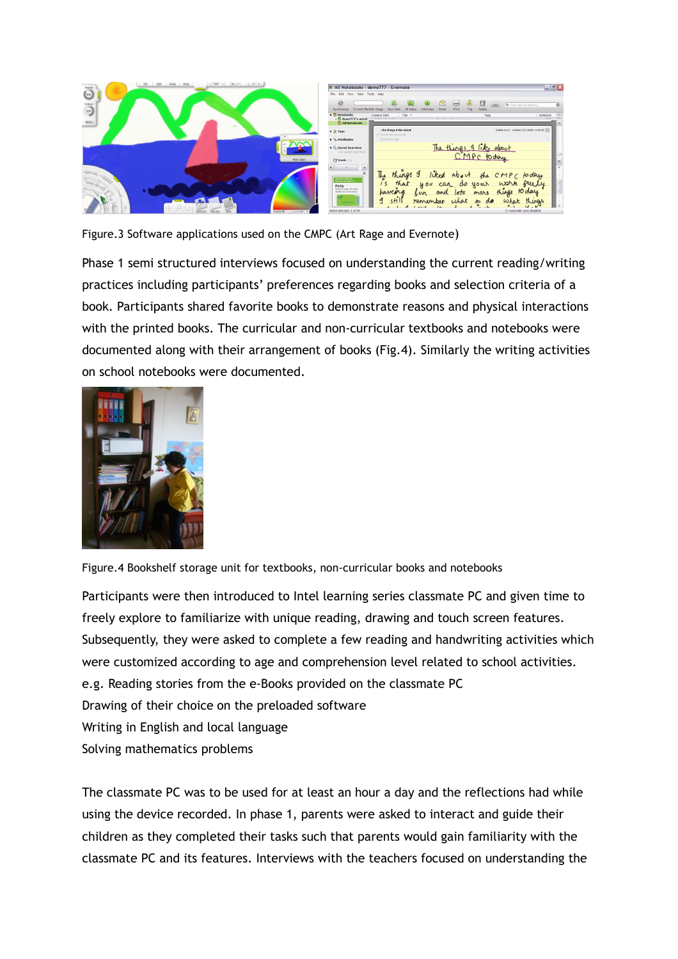

Figure.3 Software applications used on the CMPC (Art Rage and Evernote)

Phase 1 semi structured interviews focused on understanding the current reading/writing practices including participants' preferences regarding books and selection criteria of a book. Participants shared favorite books to demonstrate reasons and physical interactions with the printed books. The curricular and non-curricular textbooks and notebooks were documented along with their arrangement of books (Fig.4). Similarly the writing activities on school notebooks were documented.



Figure.4 Bookshelf storage unit for textbooks, non-curricular books and notebooks

Participants were then introduced to Intel learning series classmate PC and given time to freely explore to familiarize with unique reading, drawing and touch screen features. Subsequently, they were asked to complete a few reading and handwriting activities which were customized according to age and comprehension level related to school activities. e.g. Reading stories from the e-Books provided on the classmate PC Drawing of their choice on the preloaded software Writing in English and local language Solving mathematics problems

The classmate PC was to be used for at least an hour a day and the reflections had while using the device recorded. In phase 1, parents were asked to interact and guide their children as they completed their tasks such that parents would gain familiarity with the classmate PC and its features. Interviews with the teachers focused on understanding the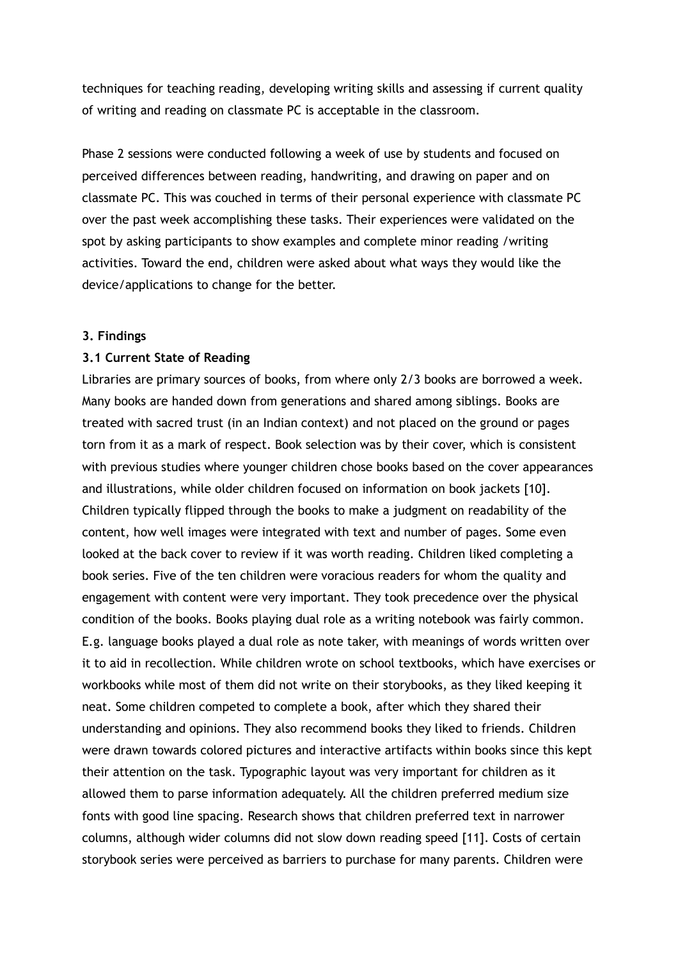techniques for teaching reading, developing writing skills and assessing if current quality of writing and reading on classmate PC is acceptable in the classroom.

Phase 2 sessions were conducted following a week of use by students and focused on perceived differences between reading, handwriting, and drawing on paper and on classmate PC. This was couched in terms of their personal experience with classmate PC over the past week accomplishing these tasks. Their experiences were validated on the spot by asking participants to show examples and complete minor reading /writing activities. Toward the end, children were asked about what ways they would like the device/applications to change for the better.

#### 3. Findings

#### 3.1 Current State of Reading

Libraries are primary sources of books, from where only 2/3 books are borrowed a week. Many books are handed down from generations and shared among siblings. Books are treated with sacred trust (in an Indian context) and not placed on the ground or pages torn from it as a mark of respect. Book selection was by their cover, which is consistent with previous studies where younger children chose books based on the cover appearances and illustrations, while older children focused on information on book jackets [10]. Children typically flipped through the books to make a judgment on readability of the content, how well images were integrated with text and number of pages. Some even looked at the back cover to review if it was worth reading. Children liked completing a book series. Five of the ten children were voracious readers for whom the quality and engagement with content were very important. They took precedence over the physical condition of the books. Books playing dual role as a writing notebook was fairly common. E.g. language books played a dual role as note taker, with meanings of words written over it to aid in recollection. While children wrote on school textbooks, which have exercises or workbooks while most of them did not write on their storybooks, as they liked keeping it neat. Some children competed to complete a book, after which they shared their understanding and opinions. They also recommend books they liked to friends. Children were drawn towards colored pictures and interactive artifacts within books since this kept their attention on the task. Typographic layout was very important for children as it allowed them to parse information adequately. All the children preferred medium size fonts with good line spacing. Research shows that children preferred text in narrower columns, although wider columns did not slow down reading speed [11]. Costs of certain storybook series were perceived as barriers to purchase for many parents. Children were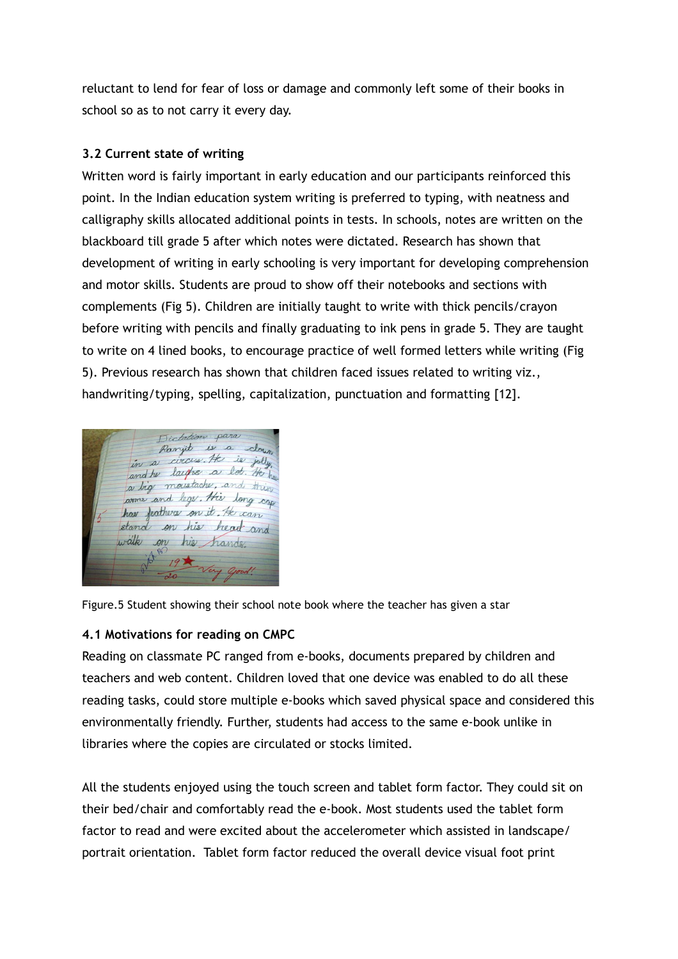reluctant to lend for fear of loss or damage and commonly left some of their books in school so as to not carry it every day.

## 3.2 Current state of writing

Written word is fairly important in early education and our participants reinforced this point. In the Indian education system writing is preferred to typing, with neatness and calligraphy skills allocated additional points in tests. In schools, notes are written on the blackboard till grade 5 after which notes were dictated. Research has shown that development of writing in early schooling is very important for developing comprehension and motor skills. Students are proud to show off their notebooks and sections with complements (Fig 5). Children are initially taught to write with thick pencils/crayon before writing with pencils and finally graduating to ink pens in grade 5. They are taught to write on 4 lined books, to encourage practice of well formed letters while writing (Fig 5). Previous research has shown that children faced issues related to writing viz., handwriting/typing, spelling, capitalization, punctuation and formatting [12].

Dictation para Ranjit is a down a circus. He is and he laight a lot. He a big moustache, and this arms and legs. His long cap has feathers on it. He can stand on his head and walk on his hands

Figure.5 Student showing their school note book where the teacher has given a star

# 4.1 Motivations for reading on CMPC

Reading on classmate PC ranged from e-books, documents prepared by children and teachers and web content. Children loved that one device was enabled to do all these reading tasks, could store multiple e-books which saved physical space and considered this environmentally friendly. Further, students had access to the same e-book unlike in libraries where the copies are circulated or stocks limited.

All the students enjoyed using the touch screen and tablet form factor. They could sit on their bed/chair and comfortably read the e-book. Most students used the tablet form factor to read and were excited about the accelerometer which assisted in landscape/ portrait orientation. Tablet form factor reduced the overall device visual foot print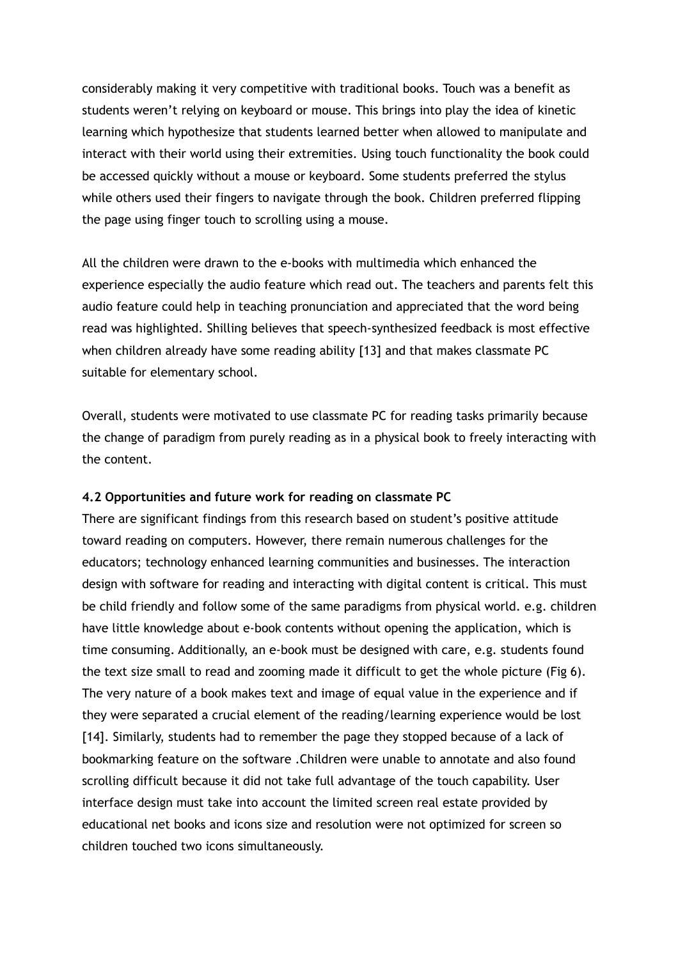considerably making it very competitive with traditional books. Touch was a benefit as students weren't relying on keyboard or mouse. This brings into play the idea of kinetic learning which hypothesize that students learned better when allowed to manipulate and interact with their world using their extremities. Using touch functionality the book could be accessed quickly without a mouse or keyboard. Some students preferred the stylus while others used their fingers to navigate through the book. Children preferred flipping the page using finger touch to scrolling using a mouse.

All the children were drawn to the e-books with multimedia which enhanced the experience especially the audio feature which read out. The teachers and parents felt this audio feature could help in teaching pronunciation and appreciated that the word being read was highlighted. Shilling believes that speech-synthesized feedback is most effective when children already have some reading ability [13] and that makes classmate PC suitable for elementary school.

Overall, students were motivated to use classmate PC for reading tasks primarily because the change of paradigm from purely reading as in a physical book to freely interacting with the content.

#### 4.2 Opportunities and future work for reading on classmate PC

There are significant findings from this research based on student's positive attitude toward reading on computers. However, there remain numerous challenges for the educators; technology enhanced learning communities and businesses. The interaction design with software for reading and interacting with digital content is critical. This must be child friendly and follow some of the same paradigms from physical world. e.g. children have little knowledge about e-book contents without opening the application, which is time consuming. Additionally, an e-book must be designed with care, e.g. students found the text size small to read and zooming made it difficult to get the whole picture (Fig 6). The very nature of a book makes text and image of equal value in the experience and if they were separated a crucial element of the reading/learning experience would be lost [14]. Similarly, students had to remember the page they stopped because of a lack of bookmarking feature on the software .Children were unable to annotate and also found scrolling difficult because it did not take full advantage of the touch capability. User interface design must take into account the limited screen real estate provided by educational net books and icons size and resolution were not optimized for screen so children touched two icons simultaneously.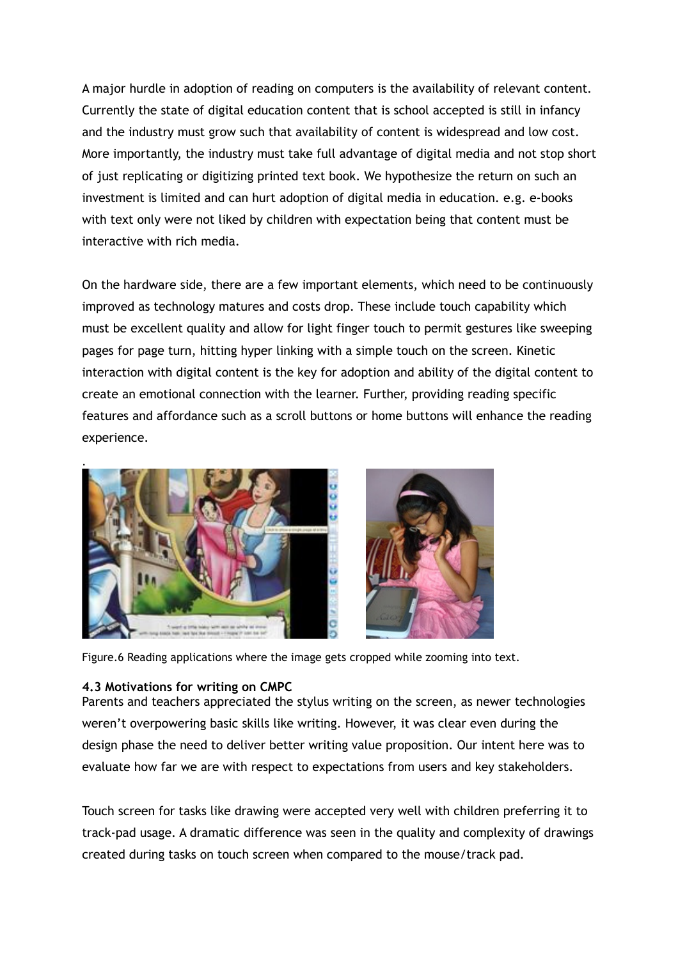A major hurdle in adoption of reading on computers is the availability of relevant content. Currently the state of digital education content that is school accepted is still in infancy and the industry must grow such that availability of content is widespread and low cost. More importantly, the industry must take full advantage of digital media and not stop short of just replicating or digitizing printed text book. We hypothesize the return on such an investment is limited and can hurt adoption of digital media in education. e.g. e-books with text only were not liked by children with expectation being that content must be interactive with rich media.

On the hardware side, there are a few important elements, which need to be continuously improved as technology matures and costs drop. These include touch capability which must be excellent quality and allow for light finger touch to permit gestures like sweeping pages for page turn, hitting hyper linking with a simple touch on the screen. Kinetic interaction with digital content is the key for adoption and ability of the digital content to create an emotional connection with the learner. Further, providing reading specific features and affordance such as a scroll buttons or home buttons will enhance the reading experience.



Figure.6 Reading applications where the image gets cropped while zooming into text.

### 4.3 Motivations for writing on CMPC

Parents and teachers appreciated the stylus writing on the screen, as newer technologies weren't overpowering basic skills like writing. However, it was clear even during the design phase the need to deliver better writing value proposition. Our intent here was to evaluate how far we are with respect to expectations from users and key stakeholders.

Touch screen for tasks like drawing were accepted very well with children preferring it to track-pad usage. A dramatic difference was seen in the quality and complexity of drawings created during tasks on touch screen when compared to the mouse/track pad.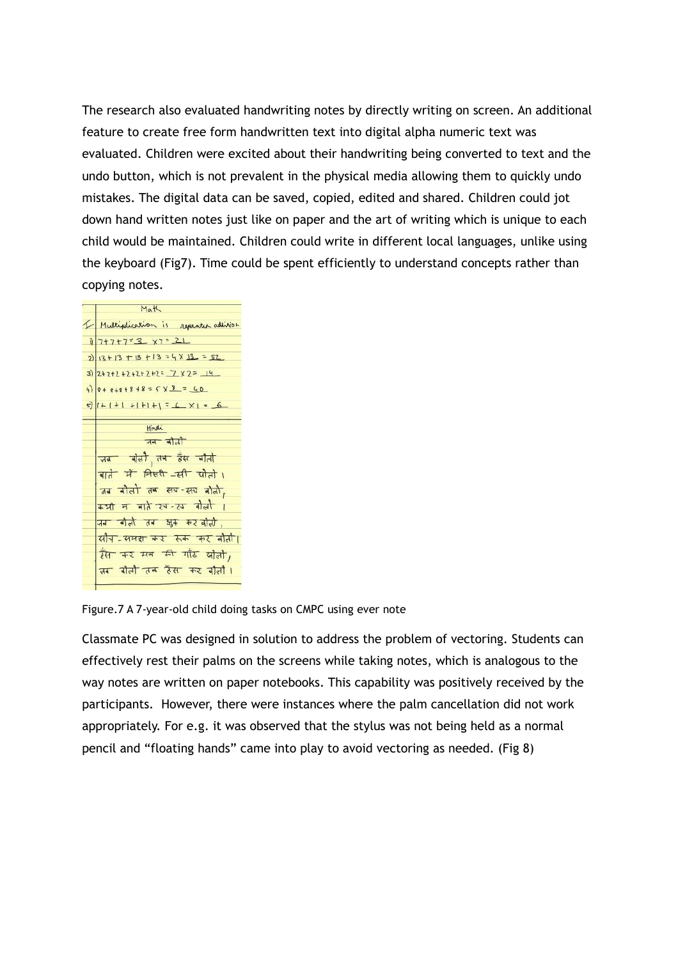The research also evaluated handwriting notes by directly writing on screen. An additional feature to create free form handwritten text into digital alpha numeric text was evaluated. Children were excited about their handwriting being converted to text and the undo button, which is not prevalent in the physical media allowing them to quickly undo mistakes. The digital data can be saved, copied, edited and shared. Children could jot down hand written notes just like on paper and the art of writing which is unique to each child would be maintained. Children could write in different local languages, unlike using the keyboard (Fig7). Time could be spent efficiently to understand concepts rather than copying notes.



Figure.7 A 7-year-old child doing tasks on CMPC using ever note

Classmate PC was designed in solution to address the problem of vectoring. Students can effectively rest their palms on the screens while taking notes, which is analogous to the way notes are written on paper notebooks. This capability was positively received by the participants. However, there were instances where the palm cancellation did not work appropriately. For e.g. it was observed that the stylus was not being held as a normal pencil and "floating hands" came into play to avoid vectoring as needed. (Fig 8)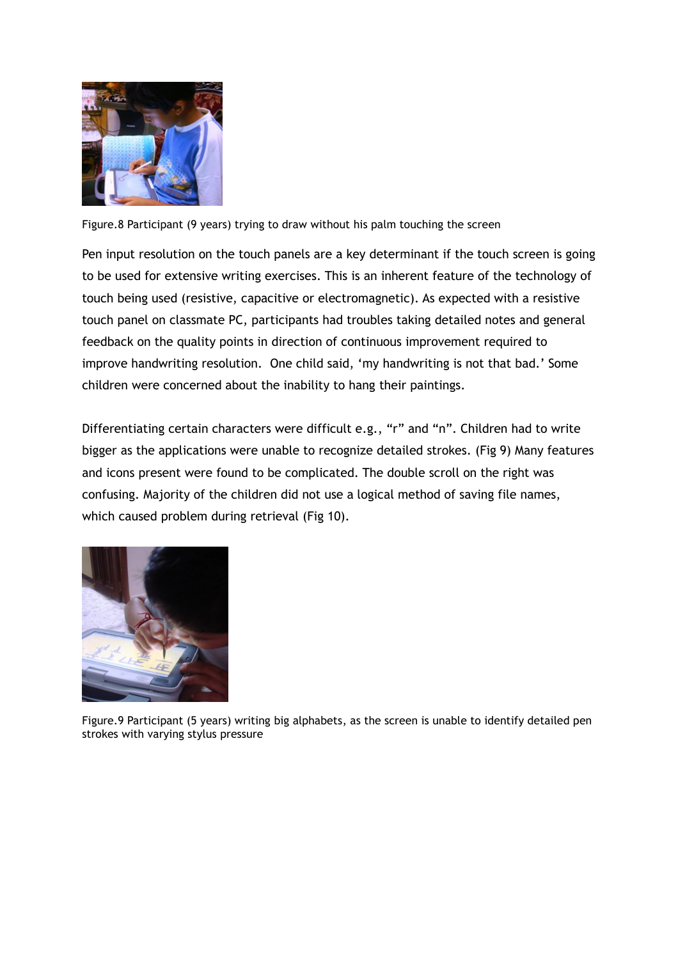

Figure.8 Participant (9 years) trying to draw without his palm touching the screen

Pen input resolution on the touch panels are a key determinant if the touch screen is going to be used for extensive writing exercises. This is an inherent feature of the technology of touch being used (resistive, capacitive or electromagnetic). As expected with a resistive touch panel on classmate PC, participants had troubles taking detailed notes and general feedback on the quality points in direction of continuous improvement required to improve handwriting resolution. One child said, 'my handwriting is not that bad.' Some children were concerned about the inability to hang their paintings.

Differentiating certain characters were difficult e.g., "r" and "n". Children had to write bigger as the applications were unable to recognize detailed strokes. (Fig 9) Many features and icons present were found to be complicated. The double scroll on the right was confusing. Majority of the children did not use a logical method of saving file names, which caused problem during retrieval (Fig 10).



Figure.9 Participant (5 years) writing big alphabets, as the screen is unable to identify detailed pen strokes with varying stylus pressure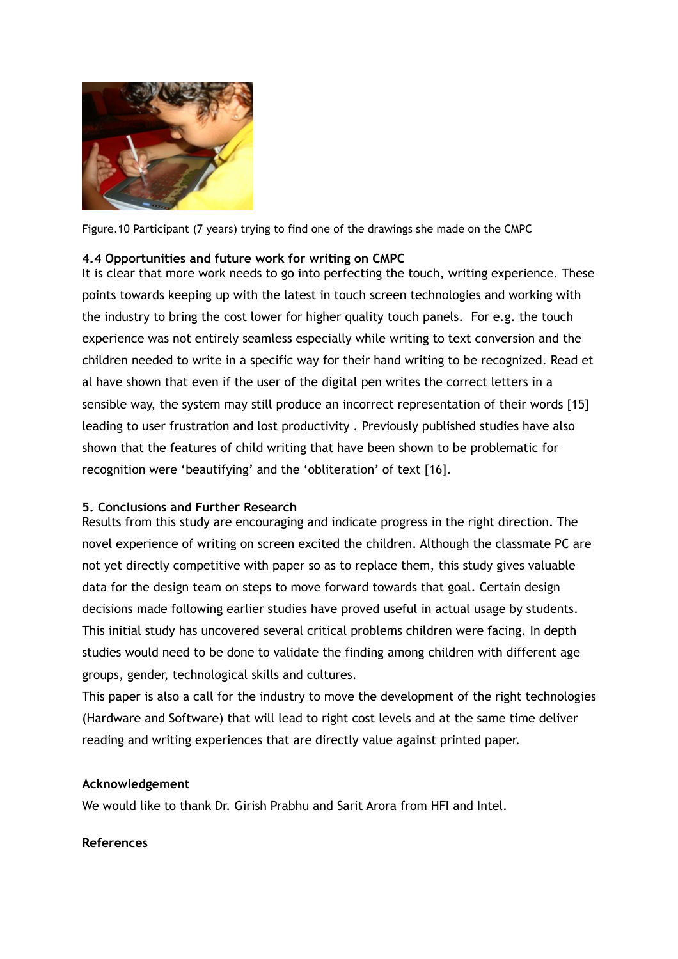

Figure.10 Participant (7 years) trying to find one of the drawings she made on the CMPC

## 4.4 Opportunities and future work for writing on CMPC

It is clear that more work needs to go into perfecting the touch, writing experience. These points towards keeping up with the latest in touch screen technologies and working with the industry to bring the cost lower for higher quality touch panels. For e.g. the touch experience was not entirely seamless especially while writing to text conversion and the children needed to write in a specific way for their hand writing to be recognized. Read et al have shown that even if the user of the digital pen writes the correct letters in a sensible way, the system may still produce an incorrect representation of their words [15] leading to user frustration and lost productivity . Previously published studies have also shown that the features of child writing that have been shown to be problematic for recognition were 'beautifying' and the 'obliteration' of text [16].

# 5. Conclusions and Further Research

Results from this study are encouraging and indicate progress in the right direction. The novel experience of writing on screen excited the children. Although the classmate PC are not yet directly competitive with paper so as to replace them, this study gives valuable data for the design team on steps to move forward towards that goal. Certain design decisions made following earlier studies have proved useful in actual usage by students. This initial study has uncovered several critical problems children were facing. In depth studies would need to be done to validate the finding among children with different age groups, gender, technological skills and cultures.

This paper is also a call for the industry to move the development of the right technologies (Hardware and Software) that will lead to right cost levels and at the same time deliver reading and writing experiences that are directly value against printed paper.

### Acknowledgement

We would like to thank Dr. Girish Prabhu and Sarit Arora from HFI and Intel.

### References